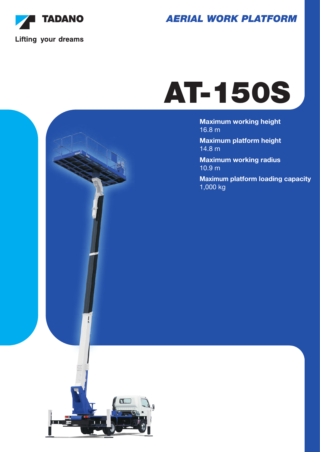

*AERIAL WORK PLATFORM*

# AT-150S

Maximum working height 16.8 m

Maximum platform height 14.8 m

Maximum working radius 10.9 m

Maximum platform loading capacity 1,000 kg